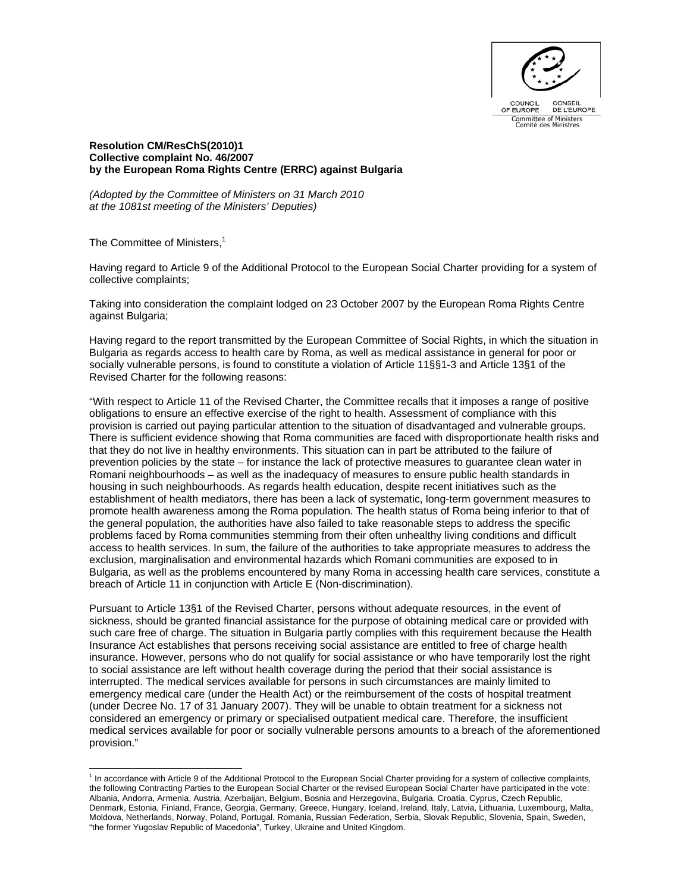

## **Resolution CM/ResChS(2010)1 Collective complaint No. 46/2007 by the European Roma Rights Centre (ERRC) against Bulgaria**

*(Adopted by the Committee of Ministers on 31 March 2010 at the 1081st meeting of the Ministers' Deputies)*

The Committee of Ministers,<sup>1</sup>

Having regard to Article 9 of the Additional Protocol to the European Social Charter providing for a system of collective complaints;

Taking into consideration the complaint lodged on 23 October 2007 by the European Roma Rights Centre against Bulgaria;

Having regard to the report transmitted by the European Committee of Social Rights, in which the situation in Bulgaria as regards access to health care by Roma, as well as medical assistance in general for poor or socially vulnerable persons, is found to constitute a violation of Article 11§§1-3 and Article 13§1 of the Revised Charter for the following reasons:

"With respect to Article 11 of the Revised Charter, the Committee recalls that it imposes a range of positive obligations to ensure an effective exercise of the right to health. Assessment of compliance with this provision is carried out paying particular attention to the situation of disadvantaged and vulnerable groups. There is sufficient evidence showing that Roma communities are faced with disproportionate health risks and that they do not live in healthy environments. This situation can in part be attributed to the failure of prevention policies by the state – for instance the lack of protective measures to guarantee clean water in Romani neighbourhoods – as well as the inadequacy of measures to ensure public health standards in housing in such neighbourhoods. As regards health education, despite recent initiatives such as the establishment of health mediators, there has been a lack of systematic, long-term government measures to promote health awareness among the Roma population. The health status of Roma being inferior to that of the general population, the authorities have also failed to take reasonable steps to address the specific problems faced by Roma communities stemming from their often unhealthy living conditions and difficult access to health services. In sum, the failure of the authorities to take appropriate measures to address the exclusion, marginalisation and environmental hazards which Romani communities are exposed to in Bulgaria, as well as the problems encountered by many Roma in accessing health care services, constitute a breach of Article 11 in conjunction with Article E (Non-discrimination).

Pursuant to Article 13§1 of the Revised Charter, persons without adequate resources, in the event of sickness, should be granted financial assistance for the purpose of obtaining medical care or provided with such care free of charge. The situation in Bulgaria partly complies with this requirement because the Health Insurance Act establishes that persons receiving social assistance are entitled to free of charge health insurance. However, persons who do not qualify for social assistance or who have temporarily lost the right to social assistance are left without health coverage during the period that their social assistance is interrupted. The medical services available for persons in such circumstances are mainly limited to emergency medical care (under the Health Act) or the reimbursement of the costs of hospital treatment (under Decree No. 17 of 31 January 2007). They will be unable to obtain treatment for a sickness not considered an emergency or primary or specialised outpatient medical care. Therefore, the insufficient medical services available for poor or socially vulnerable persons amounts to a breach of the aforementioned provision."

 1 In accordance with Article 9 of the Additional Protocol to the European Social Charter providing for a system of collective complaints, the following Contracting Parties to the European Social Charter or the revised European Social Charter have participated in the vote: Albania, Andorra, Armenia, Austria, Azerbaijan, Belgium, Bosnia and Herzegovina, Bulgaria, Croatia, Cyprus, Czech Republic, Denmark, Estonia, Finland, France, Georgia, Germany, Greece, Hungary, Iceland, Ireland, Italy, Latvia, Lithuania, Luxembourg, Malta, Moldova, Netherlands, Norway, Poland, Portugal, Romania, Russian Federation, Serbia, Slovak Republic, Slovenia, Spain, Sweden, "the former Yugoslav Republic of Macedonia", Turkey, Ukraine and United Kingdom.